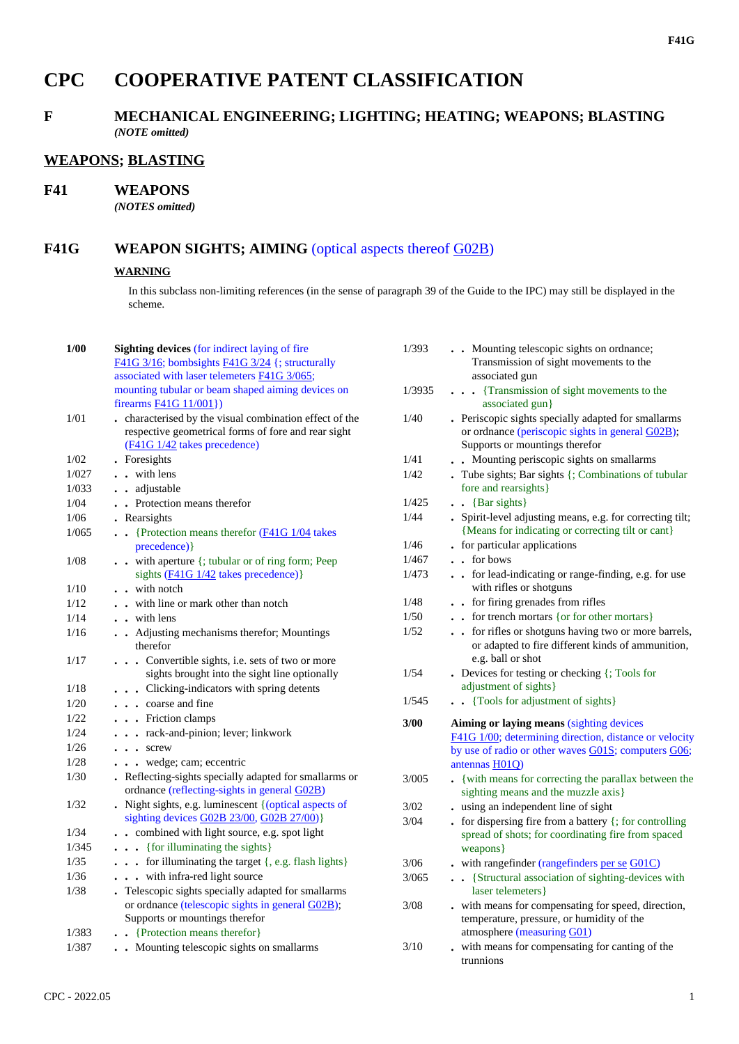# **CPC COOPERATIVE PATENT CLASSIFICATION**

## **F MECHANICAL ENGINEERING; LIGHTING; HEATING; WEAPONS; BLASTING** *(NOTE omitted)*

#### **WEAPONS; BLASTING**

#### **F41 WEAPONS**

*(NOTES omitted)*

### F41G **WEAPON SIGHTS; AIMING** (optical aspects thereof G02B)

#### **WARNING**

In this subclass non-limiting references (in the sense of paragraph 39 of the Guide to the IPC) may still be displayed in the scheme.

| 1/00   | <b>Sighting devices (for indirect laying of fire</b><br>F41G $3/16$ ; bombsights F41G $3/24$ {; structurally<br>associated with laser telemeters F41G 3/065; | 1/393  | . Mounting telescopic sights on ordnance;<br>Transmission of sight movements to the<br>associated gun                                     |
|--------|--------------------------------------------------------------------------------------------------------------------------------------------------------------|--------|-------------------------------------------------------------------------------------------------------------------------------------------|
|        | mounting tubular or beam shaped aiming devices on<br>firearms <b>F41G</b> 11/001})                                                                           | 1/3935 | . {Transmission of sight movements to the<br>associated gun}                                                                              |
| 1/01   | . characterised by the visual combination effect of the<br>respective geometrical forms of fore and rear sight<br>(F41G 1/42 takes precedence)               | 1/40   | . Periscopic sights specially adapted for smallarms<br>or ordnance (periscopic sights in general G02B);<br>Supports or mountings therefor |
| 1/02   | . Foresights                                                                                                                                                 | 1/41   | . Mounting periscopic sights on smallarms                                                                                                 |
| 1/027  | . . with lens                                                                                                                                                | 1/42   | . Tube sights; Bar sights {; Combinations of tubular                                                                                      |
| 1/033  | . adjustable                                                                                                                                                 |        | fore and rearsights }                                                                                                                     |
| 1/04   | . Protection means therefor                                                                                                                                  | 1/425  | $\bullet$ {Bar sights}                                                                                                                    |
| 1/06   | . Rearsights                                                                                                                                                 | 1/44   | . Spirit-level adjusting means, e.g. for correcting tilt;                                                                                 |
| 1/065  | $\bullet$ (Protection means therefor $(F41G 1/04)$ takes                                                                                                     |        | {Means for indicating or correcting tilt or cant}                                                                                         |
|        | precedence) }                                                                                                                                                | 1/46   | • for particular applications                                                                                                             |
| 1/08   | with aperture {; tubular or of ring form; Peep                                                                                                               | 1/467  | . . for bows                                                                                                                              |
|        | sights $(F41G 1/42$ takes precedence)}                                                                                                                       | 1/473  | . . for lead-indicating or range-finding, e.g. for use                                                                                    |
| 1/10   | . . with notch                                                                                                                                               |        | with rifles or shotguns                                                                                                                   |
| 1/12   | . . with line or mark other than notch                                                                                                                       | 1/48   | . . for firing grenades from rifles                                                                                                       |
| 1/14   | $\cdot$ with lens                                                                                                                                            | 1/50   | for trench mortars {or for other mortars}                                                                                                 |
| 1/16   | . Adjusting mechanisms therefor; Mountings<br>therefor                                                                                                       | 1/52   | for rifles or shotguns having two or more barrels,<br>or adapted to fire different kinds of ammunition,                                   |
| 1/17   | Convertible sights, i.e. sets of two or more<br>sights brought into the sight line optionally                                                                | 1/54   | e.g. ball or shot<br>• Devices for testing or checking {; Tools for                                                                       |
| 1/18   | . Clicking-indicators with spring detents                                                                                                                    |        | adjustment of sights}                                                                                                                     |
| 1/20   | coarse and fine                                                                                                                                              | 1/545  | . Tools for adjustment of sights }                                                                                                        |
| 1/22   | $\cdots$ Friction clamps                                                                                                                                     | 3/00   | Aiming or laying means (sighting devices                                                                                                  |
| 1/24   | . rack-and-pinion; lever; linkwork                                                                                                                           |        | F41G 1/00; determining direction, distance or velocity                                                                                    |
| 1/26   | $\cdots$ screw                                                                                                                                               |        | by use of radio or other waves G01S; computers G06;                                                                                       |
| 1/28   | . wedge; cam; eccentric                                                                                                                                      |        | antennas $H01Q$                                                                                                                           |
| 1/30   | . Reflecting-sights specially adapted for smallarms or<br>ordnance (reflecting-sights in general G02B)                                                       | 3/005  | . {with means for correcting the parallax between the<br>sighting means and the muzzle axis}                                              |
| 1/32   | Night sights, e.g. luminescent { (optical aspects of                                                                                                         | 3/02   | . using an independent line of sight                                                                                                      |
|        | sighting devices G02B 23/00, G02B 27/00)}                                                                                                                    | 3/04   | - for dispersing fire from a battery $\{\right;$ for controlling                                                                          |
| 1/34   | . . combined with light source, e.g. spot light                                                                                                              |        | spread of shots; for coordinating fire from spaced                                                                                        |
| 1/345  | . {for illuminating the sights}                                                                                                                              |        | weapons }                                                                                                                                 |
| 1/35   | . for illuminating the target {, e.g. flash lights}                                                                                                          | 3/06   | $.$ with rangefinder (rangefinders per se $G01C$ )                                                                                        |
| $1/36$ | . with infra-red light source                                                                                                                                | 3/065  | . . {Structural association of sighting-devices with                                                                                      |
| 1/38   | . Telescopic sights specially adapted for smallarms                                                                                                          |        | laser telemeters }                                                                                                                        |
|        | or ordnance (telescopic sights in general G02B);                                                                                                             | 3/08   | . with means for compensating for speed, direction,                                                                                       |
|        | Supports or mountings therefor                                                                                                                               |        | temperature, pressure, or humidity of the                                                                                                 |
| 1/383  | . Protection means therefor }                                                                                                                                |        | atmosphere (measuring G01)                                                                                                                |
| 1/387  | . Mounting telescopic sights on smallarms                                                                                                                    | 3/10   | . with means for compensating for canting of the<br>trunnions                                                                             |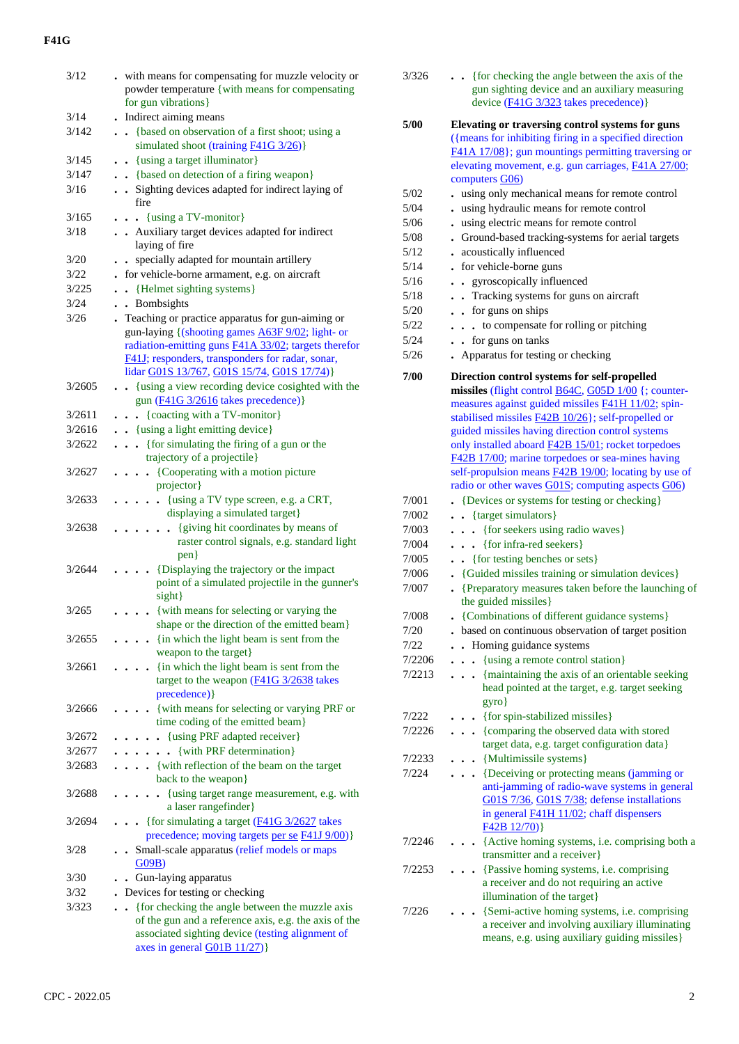### **F41G**

| 3/12   | . with means for compensating for muzzle velocity or                                                             |
|--------|------------------------------------------------------------------------------------------------------------------|
|        | powder temperature {with means for compensating                                                                  |
|        | for gun vibrations}                                                                                              |
| 3/14   | . Indirect aiming means                                                                                          |
| 3/142  | {based on observation of a first shoot; using a                                                                  |
|        | simulated shoot (training F41G 3/26)}                                                                            |
| 3/145  | . . {using a target illuminator}                                                                                 |
| 3/147  | . . {based on detection of a firing weapon}                                                                      |
| 3/16   | . Sighting devices adapted for indirect laying of                                                                |
|        | fire                                                                                                             |
| 3/165  | $\cdots$ {using a TV-monitor}                                                                                    |
| 3/18   | . Auxiliary target devices adapted for indirect                                                                  |
|        | laying of fire                                                                                                   |
| 3/20   | specially adapted for mountain artillery                                                                         |
| 3/22   | for vehicle-borne armament, e.g. on aircraft                                                                     |
| 3/225  | • {Helmet sighting systems}                                                                                      |
| 3/24   | . Bombsights                                                                                                     |
| 3/26   |                                                                                                                  |
|        | . Teaching or practice apparatus for gun-aiming or                                                               |
|        | gun-laying {(shooting games A63F 9/02; light- or                                                                 |
|        | radiation-emitting guns <b>F41A 33/02</b> ; targets therefor<br>F41J; responders, transponders for radar, sonar, |
|        |                                                                                                                  |
|        | lidar G01S 13/767, G01S 15/74, G01S 17/74)}                                                                      |
| 3/2605 | . . {using a view recording device cosighted with the                                                            |
|        | gun (F41G 3/2616 takes precedence)}                                                                              |
| 3/2611 | . {coacting with a TV-monitor}                                                                                   |
| 3/2616 | . . {using a light emitting device}                                                                              |
| 3/2622 | {for simulating the firing of a gun or the                                                                       |
|        | trajectory of a projectile}                                                                                      |
| 3/2627 | {Cooperating with a motion picture<br>.                                                                          |
|        | projector}                                                                                                       |
| 3/2633 | {using a TV type screen, e.g. a CRT,<br>$\ddot{\phantom{0}}$                                                     |
|        | displaying a simulated target}                                                                                   |
| 3/2638 | {giving hit coordinates by means of                                                                              |
|        | raster control signals, e.g. standard light                                                                      |
|        | pen <sub>2</sub>                                                                                                 |
| 3/2644 | {Displaying the trajectory or the impact                                                                         |
|        | point of a simulated projectile in the gunner's                                                                  |
|        | sight}                                                                                                           |
| 3/265  | . . {with means for selecting or varying the                                                                     |
|        | shape or the direction of the emitted beam}                                                                      |
| 3/2655 | {in which the light beam is sent from the                                                                        |
|        | weapon to the target}                                                                                            |
| 3/2661 | {in which the light beam is sent from the                                                                        |
|        | target to the weapon (F41G 3/2638 takes                                                                          |
|        | precedence) }                                                                                                    |
| 3/2666 | {with means for selecting or varying PRF or                                                                      |
|        | time coding of the emitted beam}                                                                                 |
| 3/2672 | {using PRF adapted receiver}                                                                                     |
| 3/2677 | {with PRF determination}                                                                                         |
| 3/2683 | {with reflection of the beam on the target                                                                       |
|        | back to the weapon}                                                                                              |
| 3/2688 | {using target range measurement, e.g. with                                                                       |
|        | a laser rangefinder}                                                                                             |
| 3/2694 | • {for simulating a target $(F41G 3/2627)$ takes                                                                 |
|        | precedence; moving targets per se F41J 9/00)}                                                                    |
| 3/28   | Small-scale apparatus (relief models or maps                                                                     |
|        | G09B                                                                                                             |
| 3/30   |                                                                                                                  |
|        | Gun-laying apparatus                                                                                             |
| 3/32   | Devices for testing or checking                                                                                  |
| 3/323  | {for checking the angle between the muzzle axis                                                                  |
|        | of the gun and a reference axis, e.g. the axis of the                                                            |
|        | associated sighting device (testing alignment of                                                                 |
|        | axes in general G01B 11/27)}                                                                                     |

| 3/326  | {for checking the angle between the axis of the<br>gun sighting device and an auxiliary measuring<br>device (F41G 3/323 takes precedence)}                                                                                                                                                                                                                                                                                                                     |
|--------|----------------------------------------------------------------------------------------------------------------------------------------------------------------------------------------------------------------------------------------------------------------------------------------------------------------------------------------------------------------------------------------------------------------------------------------------------------------|
| 5/00   | Elevating or traversing control systems for guns<br>({means for inhibiting firing in a specified direction<br>F41A 17/08}; gun mountings permitting traversing or<br>elevating movement, e.g. gun carriages, F41A 27/00;<br>computers G06)                                                                                                                                                                                                                     |
| 5/02   | using only mechanical means for remote control                                                                                                                                                                                                                                                                                                                                                                                                                 |
| 5/04   | using hydraulic means for remote control                                                                                                                                                                                                                                                                                                                                                                                                                       |
| 5/06   | using electric means for remote control                                                                                                                                                                                                                                                                                                                                                                                                                        |
| 5/08   | . Ground-based tracking-systems for aerial targets                                                                                                                                                                                                                                                                                                                                                                                                             |
| 5/12   | . acoustically influenced                                                                                                                                                                                                                                                                                                                                                                                                                                      |
| 5/14   | . for vehicle-borne guns                                                                                                                                                                                                                                                                                                                                                                                                                                       |
| 5/16   | • gyroscopically influenced                                                                                                                                                                                                                                                                                                                                                                                                                                    |
| 5/18   | . Tracking systems for guns on aircraft                                                                                                                                                                                                                                                                                                                                                                                                                        |
| 5/20   | . . for guns on ships                                                                                                                                                                                                                                                                                                                                                                                                                                          |
| 5/22   | to compensate for rolling or pitching<br>$\ddot{\phantom{0}}$                                                                                                                                                                                                                                                                                                                                                                                                  |
| 5/24   | • for guns on tanks                                                                                                                                                                                                                                                                                                                                                                                                                                            |
| 5/26   | Apparatus for testing or checking                                                                                                                                                                                                                                                                                                                                                                                                                              |
|        |                                                                                                                                                                                                                                                                                                                                                                                                                                                                |
| 7/00   | Direction control systems for self-propelled<br>missiles (flight control B64C, G05D 1/00 {; counter-<br>measures against guided missiles F41H 11/02; spin-<br>stabilised missiles <b>F42B 10/26</b> }; self-propelled or<br>guided missiles having direction control systems<br>only installed aboard <b>F42B 15/01</b> ; rocket torpedoes<br>F42B 17/00; marine torpedoes or sea-mines having<br>self-propulsion means <b>F42B 19/00</b> ; locating by use of |
|        | radio or other waves G01S; computing aspects G06)                                                                                                                                                                                                                                                                                                                                                                                                              |
| 7/001  | {Devices or systems for testing or checking}                                                                                                                                                                                                                                                                                                                                                                                                                   |
| 7/002  | • {target simulators}                                                                                                                                                                                                                                                                                                                                                                                                                                          |
| 7/003  | {for seekers using radio waves}                                                                                                                                                                                                                                                                                                                                                                                                                                |
| 7/004  | {for infra-red seekers}                                                                                                                                                                                                                                                                                                                                                                                                                                        |
| 7/005  | {for testing benches or sets}                                                                                                                                                                                                                                                                                                                                                                                                                                  |
| 7/006  | {Guided missiles training or simulation devices}                                                                                                                                                                                                                                                                                                                                                                                                               |
| 7/007  | {Preparatory measures taken before the launching of<br>the guided missiles}                                                                                                                                                                                                                                                                                                                                                                                    |
| 7/008  | . {Combinations of different guidance systems}                                                                                                                                                                                                                                                                                                                                                                                                                 |
| 7/20   | based on continuous observation of target position                                                                                                                                                                                                                                                                                                                                                                                                             |
| 7/22   | Homing guidance systems<br>$\ddot{\phantom{a}}$                                                                                                                                                                                                                                                                                                                                                                                                                |
| 7/2206 | {using a remote control station}                                                                                                                                                                                                                                                                                                                                                                                                                               |
| 7/2213 | {maintaining the axis of an orientable seeking<br>$\ddot{\phantom{0}}$<br>head pointed at the target, e.g. target seeking<br>gyro}                                                                                                                                                                                                                                                                                                                             |
| 7/222  | {for spin-stabilized missiles}                                                                                                                                                                                                                                                                                                                                                                                                                                 |
| 7/2226 | . {comparing the observed data with stored                                                                                                                                                                                                                                                                                                                                                                                                                     |
|        | target data, e.g. target configuration data}                                                                                                                                                                                                                                                                                                                                                                                                                   |
| 7/2233 | • {Multimissile systems}                                                                                                                                                                                                                                                                                                                                                                                                                                       |
| 7/224  | . Deceiving or protecting means (jamming or                                                                                                                                                                                                                                                                                                                                                                                                                    |
|        | anti-jamming of radio-wave systems in general<br>G01S 7/36, G01S 7/38; defense installations<br>in general <b>F41H 11/02</b> ; chaff dispensers<br>$F42B12/70$ }                                                                                                                                                                                                                                                                                               |
| 7/2246 | . {Active homing systems, i.e. comprising both a<br>transmitter and a receiver}                                                                                                                                                                                                                                                                                                                                                                                |
| 7/2253 | {Passive homing systems, i.e. comprising<br>a receiver and do not requiring an active<br>illumination of the target}                                                                                                                                                                                                                                                                                                                                           |
| 7/226  | {Semi-active homing systems, i.e. comprising<br>a receiver and involving auxiliary illuminating<br>means, e.g. using auxiliary guiding missiles}                                                                                                                                                                                                                                                                                                               |